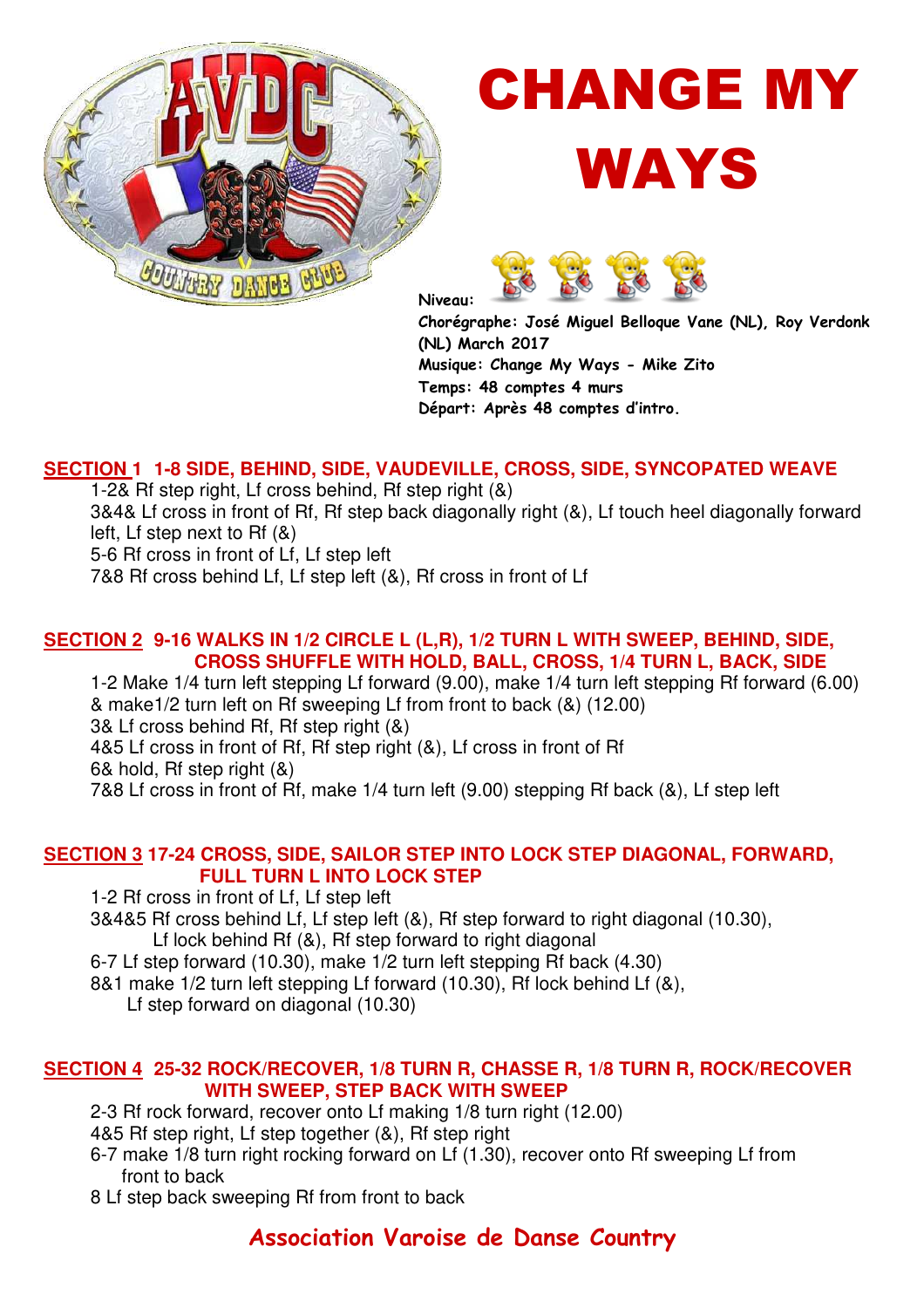

# CHANGE MY





**Niveau:** 

**Chorégraphe: José Miguel Belloque Vane (NL), Roy Verdonk (NL) March 2017 Musique: Change My Ways - Mike Zito Temps: 48 comptes 4 murs Départ: Après 48 comptes d'intro.** 

#### **SECTION 1 1-8 SIDE, BEHIND, SIDE, VAUDEVILLE, CROSS, SIDE, SYNCOPATED WEAVE**

1-2& Rf step right, Lf cross behind, Rf step right (&)

3&4& Lf cross in front of Rf, Rf step back diagonally right (&), Lf touch heel diagonally forward left, Lf step next to Rf (&)

5-6 Rf cross in front of Lf, Lf step left

7&8 Rf cross behind Lf, Lf step left (&), Rf cross in front of Lf

#### **SECTION 2 9-16 WALKS IN 1/2 CIRCLE L (L,R), 1/2 TURN L WITH SWEEP, BEHIND, SIDE, CROSS SHUFFLE WITH HOLD, BALL, CROSS, 1/4 TURN L, BACK, SIDE**

1-2 Make 1/4 turn left stepping Lf forward (9.00), make 1/4 turn left stepping Rf forward (6.00) & make1/2 turn left on Rf sweeping Lf from front to back (&) (12.00) 3& Lf cross behind Rf, Rf step right (&) 4&5 Lf cross in front of Rf, Rf step right (&), Lf cross in front of Rf 6& hold, Rf step right (&) 7&8 Lf cross in front of Rf, make 1/4 turn left (9.00) stepping Rf back (&), Lf step left

#### **SECTION 3 17-24 CROSS, SIDE, SAILOR STEP INTO LOCK STEP DIAGONAL, FORWARD, FULL TURN L INTO LOCK STEP**

1-2 Rf cross in front of Lf, Lf step left

- 3&4&5 Rf cross behind Lf, Lf step left (&), Rf step forward to right diagonal (10.30), Lf lock behind Rf (&), Rf step forward to right diagonal
- 6-7 Lf step forward (10.30), make 1/2 turn left stepping Rf back (4.30)

8&1 make 1/2 turn left stepping Lf forward (10.30), Rf lock behind Lf (&),

Lf step forward on diagonal (10.30)

#### **SECTION 4 25-32 ROCK/RECOVER, 1/8 TURN R, CHASSE R, 1/8 TURN R, ROCK/RECOVER WITH SWEEP, STEP BACK WITH SWEEP**

2-3 Rf rock forward, recover onto Lf making 1/8 turn right (12.00)

- 4&5 Rf step right, Lf step together (&), Rf step right
- 6-7 make 1/8 turn right rocking forward on Lf (1.30), recover onto Rf sweeping Lf from front to back
- 8 Lf step back sweeping Rf from front to back

### **Association Varoise de Danse Country**